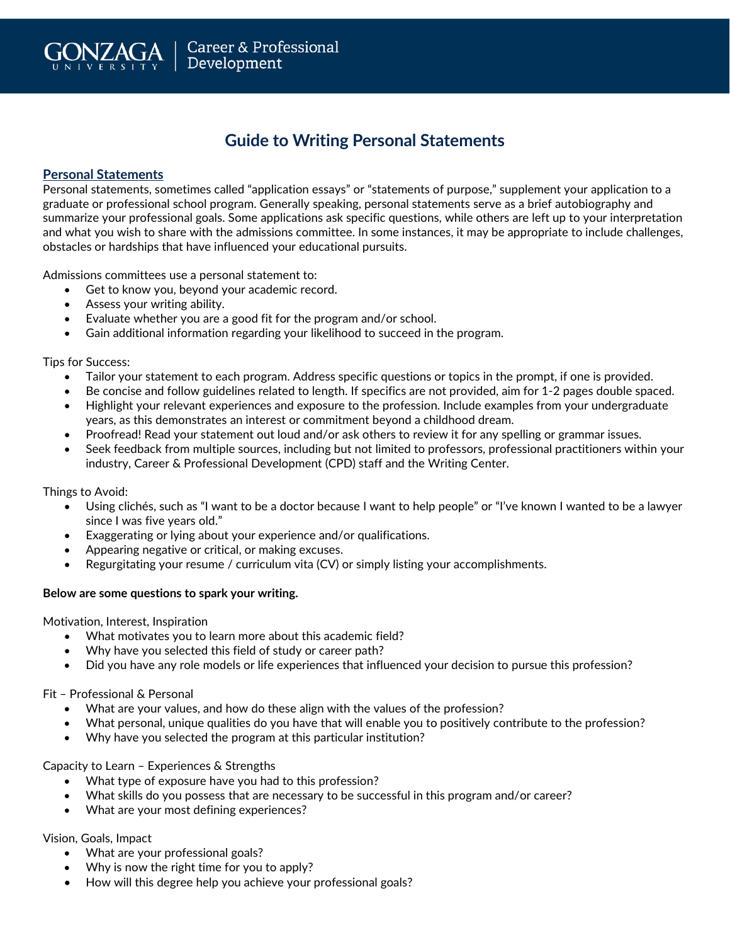

# **Guide to Writing Personal Statements**

# **Personal Statements**

Personal statements, sometimes called "application essays" or "statements of purpose," supplement your application to a graduate or professional school program. Generally speaking, personal statements serve as a brief autobiography and summarize your professional goals. Some applications ask specific questions, while others are left up to your interpretation and what you wish to share with the admissions committee. In some instances, it may be appropriate to include challenges, obstacles or hardships that have influenced your educational pursuits.

Admissions committees use a personal statement to:

- Get to know you, beyond your academic record.
- Assess your writing ability.
- Evaluate whether you are a good fit for the program and/or school.
- Gain additional information regarding your likelihood to succeed in the program.

Tips for Success:

- Tailor your statement to each program. Address specific questions or topics in the prompt, if one is provided.
- Be concise and follow guidelines related to length. If specifics are not provided, aim for 1-2 pages double spaced.
- Highlight your relevant experiences and exposure to the profession. Include examples from your undergraduate years, as this demonstrates an interest or commitment beyond a childhood dream.
- Proofread! Read your statement out loud and/or ask others to review it for any spelling or grammar issues.
- Seek feedback from multiple sources, including but not limited to professors, professional practitioners within your industry, Career & Professional Development (CPD) staff and the Writing Center.

Things to Avoid:

- Using clichés, such as "I want to be a doctor because I want to help people" or "I've known I wanted to be a lawyer since I was five years old."
- Exaggerating or lying about your experience and/or qualifications.
- Appearing negative or critical, or making excuses.
- Regurgitating your resume / curriculum vita (CV) or simply listing your accomplishments.

#### **Below are some questions to spark your writing.**

Motivation, Interest, Inspiration

- What motivates you to learn more about this academic field?
- Why have you selected this field of study or career path?
- Did you have any role models or life experiences that influenced your decision to pursue this profession?

Fit – Professional & Personal

- What are your values, and how do these align with the values of the profession?
- What personal, unique qualities do you have that will enable you to positively contribute to the profession?
- Why have you selected the program at this particular institution?

# Capacity to Learn – Experiences & Strengths

- What type of exposure have you had to this profession?
- What skills do you possess that are necessary to be successful in this program and/or career?
- What are your most defining experiences?

Vision, Goals, Impact

- What are your professional goals?
- Why is now the right time for you to apply?
- How will this degree help you achieve your professional goals?